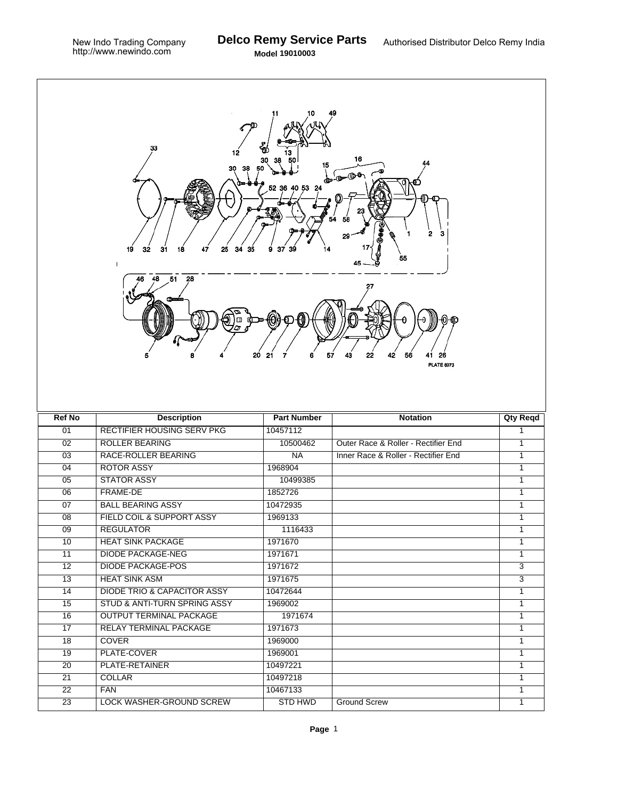| 33<br>Œ<br>12<br>16<br>30<br>15<br>$\bullet$<br>52 36<br>40 53 24<br>2<br>з<br>25<br>34<br>31<br>19<br>32<br>18<br>35<br>37<br>55<br>48 51 28<br>57<br>20<br>21<br>43<br>22<br>42<br>6<br>56<br>26<br>41<br><b>PLATE 6073</b> |                                        |                            |                                     |                     |  |  |  |
|-------------------------------------------------------------------------------------------------------------------------------------------------------------------------------------------------------------------------------|----------------------------------------|----------------------------|-------------------------------------|---------------------|--|--|--|
| <b>Ref No</b>                                                                                                                                                                                                                 | <b>Description</b>                     | <b>Part Number</b>         | <b>Notation</b>                     | <b>Qty Reqd</b>     |  |  |  |
| 01                                                                                                                                                                                                                            | <b>RECTIFIER HOUSING SERV PKG</b>      | 10457112                   |                                     |                     |  |  |  |
| 02                                                                                                                                                                                                                            |                                        |                            |                                     | 1                   |  |  |  |
|                                                                                                                                                                                                                               | <b>ROLLER BEARING</b>                  | 10500462                   | Outer Race & Roller - Rectifier End | 1                   |  |  |  |
| $\overline{03}$                                                                                                                                                                                                               | <b>RACE-ROLLER BEARING</b>             | NA                         | Inner Race & Roller - Rectifier End | $\mathbf{1}$        |  |  |  |
| 04                                                                                                                                                                                                                            | <b>ROTOR ASSY</b>                      | 1968904                    |                                     | $\mathbf{1}$        |  |  |  |
| 05                                                                                                                                                                                                                            | <b>STATOR ASSY</b>                     | 10499385                   |                                     | $\mathbf{1}$        |  |  |  |
| 06                                                                                                                                                                                                                            | FRAME-DE                               | 1852726                    |                                     | $\mathbf{1}$        |  |  |  |
| 07                                                                                                                                                                                                                            | <b>BALL BEARING ASSY</b>               | 10472935                   |                                     | $\mathbf{1}$        |  |  |  |
| 08                                                                                                                                                                                                                            | FIELD COIL & SUPPORT ASSY              | 1969133                    |                                     | $\mathbf{1}$        |  |  |  |
| $\overline{09}$                                                                                                                                                                                                               | <b>REGULATOR</b>                       | 1116433                    |                                     | $\mathbf{1}$        |  |  |  |
| 10                                                                                                                                                                                                                            | <b>HEAT SINK PACKAGE</b>               | 1971670                    |                                     | $\mathbf{1}$        |  |  |  |
| 11                                                                                                                                                                                                                            | <b>DIODE PACKAGE-NEG</b>               | 1971671                    |                                     | $\mathbf{1}$        |  |  |  |
| $\overline{12}$                                                                                                                                                                                                               | <b>DIODE PACKAGE-POS</b>               | 1971672                    |                                     | $\overline{3}$      |  |  |  |
| 13                                                                                                                                                                                                                            | <b>HEAT SINK ASM</b>                   | 1971675                    |                                     | $\overline{3}$      |  |  |  |
| $\overline{14}$                                                                                                                                                                                                               | <b>DIODE TRIO &amp; CAPACITOR ASSY</b> | 10472644                   |                                     | $\mathbf{1}$        |  |  |  |
| 15                                                                                                                                                                                                                            | STUD & ANTI-TURN SPRING ASSY           | 1969002                    |                                     | $\mathbf{1}$        |  |  |  |
| 16                                                                                                                                                                                                                            | <b>OUTPUT TERMINAL PACKAGE</b>         | 1971674                    |                                     | $\mathbf{1}$        |  |  |  |
| 17                                                                                                                                                                                                                            | RELAY TERMINAL PACKAGE                 | 1971673                    |                                     | $\mathbf{1}$        |  |  |  |
| 18                                                                                                                                                                                                                            | <b>COVER</b>                           | 1969000                    |                                     | $\mathbf{1}$        |  |  |  |
| 19                                                                                                                                                                                                                            | PLATE-COVER                            | 1969001                    |                                     | 1                   |  |  |  |
| 20                                                                                                                                                                                                                            | PLATE-RETAINER                         | 10497221                   |                                     | $\mathbf{1}$        |  |  |  |
| 21                                                                                                                                                                                                                            | <b>COLLAR</b>                          | 10497218                   |                                     | 1                   |  |  |  |
| 22<br>$\overline{23}$                                                                                                                                                                                                         | <b>FAN</b><br>LOCK WASHER-GROUND SCREW | 10467133<br><b>STD HWD</b> | <b>Ground Screw</b>                 | 1<br>$\overline{1}$ |  |  |  |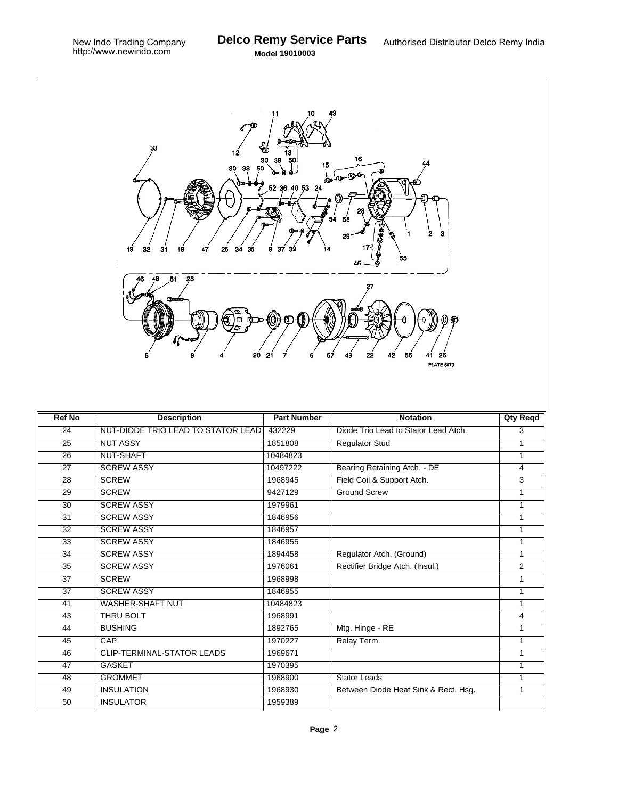**Model 19010003**

| 33<br>12<br>16<br>15<br>30<br>38<br>$\mathbf{a} \cdot \mathbf{b} \cdot \mathbf{c}$<br>52 36 40 53 24<br>2<br>з<br>29<br>32<br>31<br>25<br>19<br>18<br>47<br>34<br>35<br>37<br>39<br>14<br>9<br>55<br>1<br>28<br>48<br>51<br>Ξ<br>57<br>20<br>6<br>43<br>22<br>21<br>7<br>42<br>56<br>26<br><b>PLATE 6073</b> |                                    |                    |                                      |                 |  |  |
|--------------------------------------------------------------------------------------------------------------------------------------------------------------------------------------------------------------------------------------------------------------------------------------------------------------|------------------------------------|--------------------|--------------------------------------|-----------------|--|--|
| <b>Ref No</b>                                                                                                                                                                                                                                                                                                | <b>Description</b>                 | <b>Part Number</b> | <b>Notation</b>                      | <b>Qty Reqd</b> |  |  |
| $\overline{24}$                                                                                                                                                                                                                                                                                              | NUT-DIODE TRIO LEAD TO STATOR LEAD | 432229             | Diode Trio Lead to Stator Lead Atch. | 3               |  |  |
| 25                                                                                                                                                                                                                                                                                                           | <b>NUT ASSY</b>                    | 1851808            | <b>Regulator Stud</b>                | $\mathbf{1}$    |  |  |
| $\overline{26}$                                                                                                                                                                                                                                                                                              | NUT-SHAFT                          | 10484823           |                                      | 1               |  |  |
| $\overline{27}$                                                                                                                                                                                                                                                                                              | <b>SCREW ASSY</b>                  | 10497222           | Bearing Retaining Atch. - DE         | $\overline{4}$  |  |  |
| 28                                                                                                                                                                                                                                                                                                           | <b>SCREW</b>                       | 1968945            | Field Coil & Support Atch.           | 3               |  |  |
| $\overline{29}$                                                                                                                                                                                                                                                                                              | <b>SCREW</b>                       | 9427129            | <b>Ground Screw</b>                  | $\overline{1}$  |  |  |
| $\overline{30}$                                                                                                                                                                                                                                                                                              | <b>SCREW ASSY</b>                  | 1979961            |                                      | $\overline{1}$  |  |  |
| 31                                                                                                                                                                                                                                                                                                           | <b>SCREW ASSY</b>                  | 1846956            |                                      | 1               |  |  |
| $\overline{32}$                                                                                                                                                                                                                                                                                              | <b>SCREW ASSY</b>                  | 1846957            |                                      | 1               |  |  |
| 33                                                                                                                                                                                                                                                                                                           | <b>SCREW ASSY</b>                  | 1846955            |                                      | $\mathbf{1}$    |  |  |
| 34                                                                                                                                                                                                                                                                                                           | <b>SCREW ASSY</b>                  | 1894458            | Regulator Atch. (Ground)             | 1               |  |  |
| $\overline{35}$                                                                                                                                                                                                                                                                                              | <b>SCREW ASSY</b>                  | 1976061            | Rectifier Bridge Atch. (Insul.)      | $\overline{2}$  |  |  |
| $\overline{37}$                                                                                                                                                                                                                                                                                              | <b>SCREW</b>                       | 1968998            |                                      | $\overline{1}$  |  |  |
| $\overline{37}$                                                                                                                                                                                                                                                                                              | <b>SCREW ASSY</b>                  | 1846955            |                                      | 1               |  |  |
| 41                                                                                                                                                                                                                                                                                                           | <b>WASHER-SHAFT NUT</b>            | 10484823           |                                      | 1               |  |  |
| 43                                                                                                                                                                                                                                                                                                           | THRU BOLT                          | 1968991            |                                      | $\overline{4}$  |  |  |
| $\overline{44}$                                                                                                                                                                                                                                                                                              | <b>BUSHING</b>                     | 1892765            | Mtg. Hinge - RE                      | 1               |  |  |
| 45                                                                                                                                                                                                                                                                                                           | CAP                                | 1970227            | Relay Term.                          | 1               |  |  |
| 46                                                                                                                                                                                                                                                                                                           | <b>CLIP-TERMINAL-STATOR LEADS</b>  | 1969671            |                                      | $\overline{1}$  |  |  |
| $\overline{47}$                                                                                                                                                                                                                                                                                              | <b>GASKET</b>                      | 1970395            |                                      | $\mathbf{1}$    |  |  |
| 48                                                                                                                                                                                                                                                                                                           | <b>GROMMET</b>                     | 1968900            | <b>Stator Leads</b>                  | 1               |  |  |
| 49                                                                                                                                                                                                                                                                                                           | <b>INSULATION</b>                  | 1968930            | Between Diode Heat Sink & Rect. Hsg. |                 |  |  |
|                                                                                                                                                                                                                                                                                                              |                                    |                    |                                      | $\mathbf{1}$    |  |  |